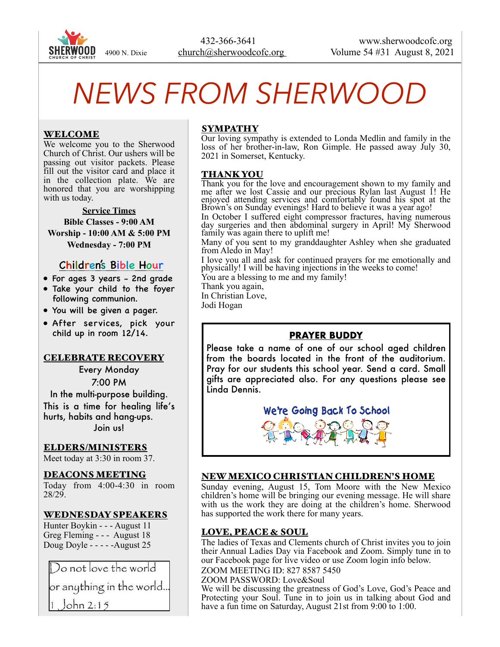

# *NEWS FROM SHERWOOD*

## WELCOME

We welcome you to the Sherwood Church of Christ. Our ushers will be passing out visitor packets. Please fill out the visitor card and place it in the collection plate. We are honored that you are worshipping with us today.

**Service Times Bible Classes - 9:00 AM Worship - 10:00 AM & 5:00 PM Wednesday - 7:00 PM** 

# Children's Bible Hour

- For ages 3 years 2nd grade
- Take your child to the foyer following communion.
- You will be given a pager.
- After services, pick your child up in room 12/14.

#### CELEBRATE RECOVERY

Every Monday 7:00 PM In the multi-purpose building.

This is a time for healing life's hurts, habits and hang-ups. Join us!

### ELDERS/MINISTERS

Meet today at 3:30 in room 37.

#### DEACONS MEETING

Today from 4:00-4:30 in room 28/29.

### WEDNESDAY SPEAKERS

Hunter Boykin - - - August 11 Greg Fleming - - - August 18 Doug Doyle - - - - -August 25

Do not love the world or anything in the world.. John 2:15

#### SYMPATHY

Our loving sympathy is extended to Londa Medlin and family in the loss of her brother-in-law, Ron Gimple. He passed away July 30, 2021 in Somerset, Kentucky.

#### THANK YOU

Thank you for the love and encouragement shown to my family and me after we lost Cassie and our precious Rylan last August 1! He enjoyed attending services and comfortably found his spot at the Brown's on Sunday evenings! Hard to believe it was a year ago!

In October I suffered eight compressor fractures, having numerous day surgeries and then abdominal surgery in April! My Sherwood family was again there to uplift me!

Many of you sent to my granddaughter Ashley when she graduated from Aledo in May!

I love you all and ask for continued prayers for me emotionally and physically! I will be having injections in the weeks to come!

You are a blessing to me and my family!

Thank you again,

In Christian Love,

Jodi Hogan

# **PRAYER BUDDY**

Please take a name of one of our school aged children from the boards located in the front of the auditorium. Pray for our students this school year. Send a card. Small gifts are appreciated also. For any questions please see Linda Dennis.



### NEW MEXICO CHRISTIAN CHILDREN'S HOME

Sunday evening, August 15, Tom Moore with the New Mexico children's home will be bringing our evening message. He will share with us the work they are doing at the children's home. Sherwood has supported the work there for many years.

### LOVE, PEACE & SOUL

The ladies of Texas and Clements church of Christ invites you to join their Annual Ladies Day via Facebook and Zoom. Simply tune in to our Facebook page for live video or use Zoom login info below. ZOOM MEETING ID: 827 8587 5450

ZOOM PASSWORD: Love&Soul

We will be discussing the greatness of God's Love, God's Peace and Protecting your Soul. Tune in to join us in talking about God and have a fun time on Saturday, August 21st from 9:00 to 1:00.